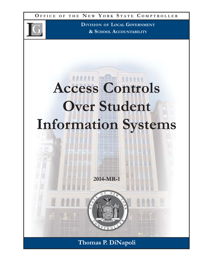**O FFICE O F THE N E W Y ORK S TATE C OMPTROLLER**



**DIVISION OF LOCAL GOVERNMENT & SCHOOL ACCOUNTABILITY**

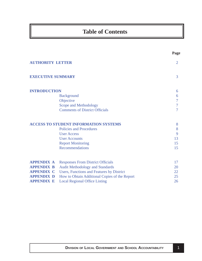# **Table of Contents**

|                          |                                               | Page           |
|--------------------------|-----------------------------------------------|----------------|
| <b>AUTHORITY LETTER</b>  |                                               | $\overline{2}$ |
| <b>EXECUTIVE SUMMARY</b> |                                               | 3              |
| <b>INTRODUCTION</b>      |                                               | 6              |
|                          | <b>Background</b>                             | 6              |
|                          | Objective                                     | 7              |
|                          | Scope and Methodology                         | $\overline{7}$ |
|                          | <b>Comments of District Officials</b>         | 7              |
|                          | <b>ACCESS TO STUDENT INFORMATION SYSTEMS</b>  | 8              |
|                          | <b>Policies and Procedures</b>                | 8              |
|                          | <b>User Access</b>                            | 9              |
|                          | <b>User Accounts</b>                          | 13             |
|                          | <b>Report Monitoring</b>                      | 15             |
|                          | <b>Recommendations</b>                        | 15             |
| <b>APPENDIX A</b>        | <b>Responses From District Officials</b>      | 17             |
| <b>APPENDIX B</b>        | <b>Audit Methodology and Standards</b>        | 20             |
| <b>APPENDIX C</b>        | Users, Functions and Features by District     | 22             |
| <b>APPENDIX D</b>        | How to Obtain Additional Copies of the Report | 25             |
| <b>APPENDIX E</b>        | <b>Local Regional Office Listing</b>          | 26             |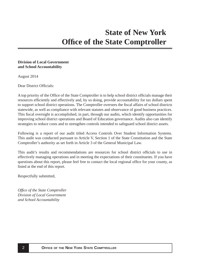#### <span id="page-2-0"></span>**Division of Local Government and School Accountability**

August 2014

Dear District Officials:

A top priority of the Office of the State Comptroller is to help school district officials manage their resources efficiently and effectively and, by so doing, provide accountability for tax dollars spent to support school district operations. The Comptroller oversees the fiscal affairs of school districts statewide, as well as compliance with relevant statutes and observance of good business practices. This fiscal oversight is accomplished, in part, through our audits, which identify opportunities for improving school district operations and Board of Education governance. Audits also can identify strategies to reduce costs and to strengthen controls intended to safeguard school district assets.

Following is a report of our audit titled Access Controls Over Student Information Systems. This audit was conducted pursuant to Article V, Section 1 of the State Constitution and the State Comptroller's authority as set forth in Article 3 of the General Municipal Law.

This audit's results and recommendations are resources for school district officials to use in effectively managing operations and in meeting the expectations of their constituents. If you have questions about this report, please feel free to contact the local regional office for your county, as listed at the end of this report.

Respectfully submitted,

*Offi ce of the State Comptroller Division of Local Government and School Accountability*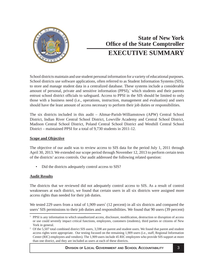<span id="page-3-0"></span>

# **State of New York Office of the State Comptroller EXECUTIVE SUMMARY**

School districts maintain and use student personal information for a variety of educational purposes. School districts use software applications, often referred to as Student Information Systems (SIS), to store and manage student data in a centralized database. These systems include a considerable amount of personal, private and sensitive information  $(PPSI)$ , which students and their parents entrust school district officials to safeguard. Access to PPSI in the SIS should be limited to only those with a business need (i.e., operations, instruction, management and evaluation) and users should have the least amount of access necessary to perform their job duties or responsibilities.

The six districts included in this audit – Altmar-Parish-Williamstown (APW) Central School District, Indian River Central School District, Lowville Academy and Central School District, Madison Central School District, Poland Central School District and Westhill Central School District – maintained PPSI for a total of 9,730 students in 2011-12.

## **Scope and Objective**

The objective of our audit was to review access to SIS data for the period July 1, 2011 through April 30, 2013. We extended our scope period through November 12, 2013 to perform certain tests of the districts' access controls. Our audit addressed the following related question:

• Did the districts adequately control access to SIS?

## **Audit Results**

The districts that we reviewed did not adequately control access to SIS. As a result of control weaknesses at each district, we found that certain users in all six districts were assigned more access rights than needed for their job duties.

We tested 229 users from a total of  $1,909$  users<sup>2</sup> (12 percent) in all six districts and compared the users' SIS permissions to their job duties and responsibilities. We found that 90 users (39 percent)

<sup>&</sup>lt;sup>1</sup> PPSI is any information to which unauthorized access, disclosure, modification, destruction or disruption of access or use could severely impact critical functions, employees, customers (students), third parties or citizens of New York in general.

<sup>&</sup>lt;sup>2</sup> Of the 5,507 total combined district SIS users, 3,598 are parent and student users. We found that parent and student access rights were appropriate. Our testing focused on the remaining 1,909 users (i.e., staff, Regional Information Center (RIC) employees and vendors). The 1,909 users include 45 RIC employees who provide SIS support at more than one district, and they are included as users at each of these districts.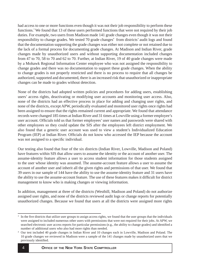had access to one or more functions even though it was not their job responsibility to perform these functions.<sup>3</sup> We found that 13 of these users performed functions that were not required by their job duties. For example, two users from Madison made 141 grade changes even though it was not their responsibility to change grades. We tested 70 grade changes<sup>4</sup> from districts' audit logs and found that the documentation supporting the grade changes was either not complete or not retained due to the lack of a formal process for documenting grade changes. At Madison and Indian River, grade changes made by unauthorized users and without supporting documentation included changes from 47 to 70, 58 to 70 and 62 to 70. Further, at Indian River, 19 of 40 grade changes were made by a Mohawk Regional Information Center employee who was not assigned the responsibility to change grades and there was no documentation to support these grade changes. When the ability to change grades is not properly restricted and there is no process to require that all changes be authorized, supported and documented, there is an increased risk that unauthorized or inappropriate changes can be made to grades without detection.

None of the districts had adopted written policies and procedures for adding users, establishing users' access rights, deactivating or modifying user accounts and monitoring user access. Also, none of the districts had an effective process in place for adding and changing user rights, and none of the districts, except APW, periodically evaluated and monitored user rights once rights had been assigned to ensure that the rights remained current and appropriate. We found that attendance records were changed 185 times at Indian River and 31 times at Lowville using a former employee's user account. Officials told us that former employees' user names and passwords were shared with other employees so they could update the SIS after the employees left district employment. We also found that a generic user account was used to view a student's Individualized Education Program (IEP) at Indian River. Officials do not know who accessed the IEP because the account was not assigned to a specific individual.

Our testing also found that four of the six districts (Indian River, Lowville, Madison and Poland) have features within SIS that allow users to assume the identity or the account of another user. The assume-identity feature allows a user to access student information for those students assigned to the user whose identity was assumed. The assume-account feature allows a user to assume the account of another user and inherit all the given rights and permissions of that user. We found that 39 users in our sample of 144 have the ability to use the assume-identity feature and 31 users have the ability to use the assume-account feature. The use of these features makes it difficult for district management to know who is making changes or viewing information.

In addition, management at three of the districts (Westhill, Madison and Poland) do not authorize assigned user rights, and none of the districts reviewed audit logs or change reports for potentially unauthorized changes. Because we found that users at all the districts were assigned more rights

<sup>3</sup> In the five districts that utilize user groups to assign access rights, we found that the user groups that the individuals were assigned to included numerous other users with permissions that were not required for their jobs. At APW, we searched electronic user access reports for particular permissions (e.g., the ability to change grades) and identified a number of additional users who also had more rights than needed.

<sup>4</sup> Our test included 40 grade changes in Indian River and 10 changes each in Lowville, Madison and Poland. The 10 grade changes we reviewed in Madison were a sample of the 141 changes made by unauthorized users that we previously identified.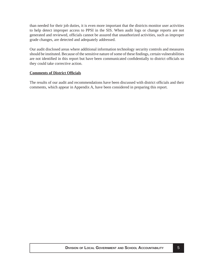than needed for their job duties, it is even more important that the districts monitor user activities to help detect improper access to PPSI in the SIS. When audit logs or change reports are not generated and reviewed, officials cannot be assured that unauthorized activities, such as improper grade changes, are detected and adequately addressed.

Our audit disclosed areas where additional information technology security controls and measures should be instituted. Because of the sensitive nature of some of these findings, certain vulnerabilities are not identified in this report but have been communicated confidentially to district officials so they could take corrective action.

### **Comments of District Offi cials**

The results of our audit and recommendations have been discussed with district officials and their comments, which appear in Appendix A, have been considered in preparing this report.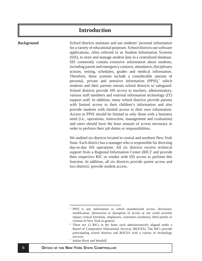# **Introduction**

#### <span id="page-6-0"></span>**Background**

School districts maintain and use students' personal information for a variety of educational purposes. School districts use software applications, often referred to as Student Information Systems (SIS), to store and manage student data in a centralized database. SIS commonly contain extensive information about students, including parent and emergency contacts, attendance, disciplinary actions, testing, schedules, grades and medical information. Therefore, these systems include a considerable amount of personal, private and sensitive information (PPSI),<sup>5</sup> which students and their parents entrust school districts to safeguard. School districts provide SIS access to teachers, administrators, various staff members and external information technology (IT) support staff. In addition, many school districts provide parents with limited access to their children's information and also provide students with limited access to their own information. Access to PPSI should be limited to only those with a business need (i.e., operations, instruction, management and evaluation) and users should have the least amount of access necessary in order to perform their job duties or responsibilities.

We audited six districts located in central and northern New York State. Each district has a manager who is responsible for directing day-to-day SIS operations. All six districts receive technical support from a Regional Information Center  $(RIC)^6$  and provide their respective RIC or vendor with SIS access to perform this function. In addition, all six districts provide parent access and two districts<sup>7</sup> provide student access.

<sup>5</sup> PPSI is any information to which unauthorized access, disclosure, modification, destruction or disruption of access or use could severely impact critical functions, employees, customers (students), third parties or citizens of New York in general. 6

There are 12 RICs in the State, each administratively aligned under a Board of Cooperative Educational Services (BOCES). The RICs provide participating school districts and BOCES with a variety of technology services.<br>
<sup>7</sup> Indian River and Westhill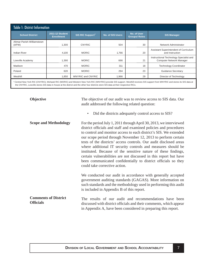<span id="page-7-0"></span>

| <b>Table 1: District Information</b> |                                             |                                    |                         |                                    |                                                                            |  |  |
|--------------------------------------|---------------------------------------------|------------------------------------|-------------------------|------------------------------------|----------------------------------------------------------------------------|--|--|
| <b>School District</b>               | <b>2011-12 Student</b><br><b>Enrollment</b> | <b>SIS RIC Support<sup>a</sup></b> | <b>No. of SIS Users</b> | No. of User<br><b>Groups/Roles</b> | <b>SIS Manager</b>                                                         |  |  |
| Altmar-Parish-Williamstown<br>(APW)  | 1,300                                       | <b>CNYRIC</b>                      | 504                     | 30                                 | Network Administrator                                                      |  |  |
| <b>Indian River</b>                  | 4,100                                       | <b>MORIC</b>                       | 1,766                   | 20                                 | Assistant Superintendent of Curriculum<br>and Instruction                  |  |  |
| Lowville Academy                     | 1,390                                       | <b>MORIC</b>                       | 666                     | 21                                 | Instructional Technology Specialist and<br><b>Computer Network Manager</b> |  |  |
| Madison                              | 470                                         | <b>MORIC</b>                       | 311                     | 18                                 | <b>Technology Coordinator</b>                                              |  |  |
| Poland                               | 620                                         | <b>MORIC</b>                       | 294                     | 23                                 | <b>Guidance Secretary</b>                                                  |  |  |
| Westhill                             | 1,850                                       | <b>WNYRIC and CNYRIC</b>           | 1,966                   | 29                                 | Director of Technology                                                     |  |  |

a Central New York RIC (CNYRIC), Mohawk RIC (MORIC) and Western New York RIC (WNYRIC) provide SIS support. Westhill receives SIS support from WNYRIC and stores its SIS data at the CNYRIC, Lowville stores SIS data in-house at the district and the other four districts store SIS data at their respective RICs.

**Objective**

The objective of our audit was to review access to SIS data. Our audit addressed the following related question:

• Did the districts adequately control access to SIS?

For the period July 1, 2011 through April 30, 2013, we interviewed district officials and staff and examined policies and procedures to control and monitor access to each district's SIS. We extended our scope period through November 12, 2013 to perform certain tests of the districts' access controls. Our audit disclosed areas where additional IT security controls and measures should be instituted. Because of the sensitive nature of these findings, certain vulnerabilities are not discussed in this report but have been communicated confidentially to district officials so they could take corrective action. **Scope and Methodology**

We conducted our audit in accordance with generally accepted government auditing standards (GAGAS). More information on such standards and the methodology used in performing this audit is included in Appendix B of this report.

#### The results of our audit and recommendations have been discussed with district officials and their comments, which appear in Appendix A, have been considered in preparing this report. **Comments of District Offi cials**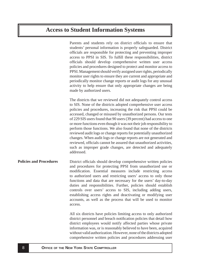# <span id="page-8-0"></span>**Access to Student Information Systems**

Parents and students rely on district officials to ensure that students' personal information is properly safeguarded. District officials are responsible for protecting and preventing improper access to PPSI in SIS. To fulfill these responsibilities, district officials should develop comprehensive written user access policies and procedures designed to protect and monitor access to PPSI. Management should verify assigned user rights, periodically monitor user rights to ensure they are current and appropriate and periodically monitor change reports or audit logs for any unusual activity to help ensure that only appropriate changes are being made by authorized users.

The districts that we reviewed did not adequately control access to SIS. None of the districts adopted comprehensive user access policies and procedures, increasing the risk that PPSI could be accessed, changed or misused by unauthorized persons. Our tests of 229 SIS users found that 90 users (39 percent) had access to one or more functions even though it was not their job responsibility to perform those functions. We also found that none of the districts reviewed audit logs or change reports for potentially unauthorized changes. When audit logs or change reports are not generated and reviewed, officials cannot be assured that unauthorized activities, such as improper grade changes, are detected and adequately addressed.

District officials should develop comprehensive written policies and procedures for protecting PPSI from unauthorized use or modification. Essential measures include restricting access to authorized users and restricting users' access to only those functions and data that are necessary for the users' day-to-day duties and responsibilities. Further, policies should establish controls over users' access to SIS, including adding users, establishing access rights and deactivating or modifying user accounts, as well as the process that will be used to monitor access. **Policies and Procedures**

> All six districts have policies limiting access to only authorized district personnel and breach notification policies that detail how district employees would notify affected parties whose private information was, or is reasonably believed to have been, acquired without valid authorization. However, none of the districts adopted comprehensive written policies and procedures addressing user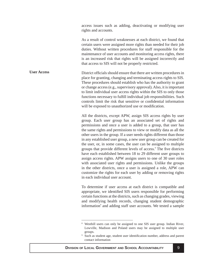access issues such as adding, deactivating or modifying user rights and accounts.

As a result of control weaknesses at each district, we found that certain users were assigned more rights than needed for their job duties. Without written procedures for staff responsible for the maintenance of user accounts and monitoring access rights, there is an increased risk that rights will be assigned incorrectly and that access to SIS will not be properly restricted.

<span id="page-9-0"></span>District officials should ensure that there are written procedures in place for granting, changing and terminating access rights to SIS. These procedures should establish who has the authority to grant or change access (e.g., supervisory approval). Also, it is important to limit individual user access rights within the SIS to only those functions necessary to fulfill individual job responsibilities. Such controls limit the risk that sensitive or confidential information will be exposed to unauthorized use or modification. **User Access**

> All the districts, except APW, assign SIS access rights by user group. Each user group has an associated set of rights and permissions and once a user is added to a group, that user has the same rights and permissions to view or modify data as all the other users in the group. If a user needs rights different than those in any established user group, a new user group can be created for the user, or, in some cases, the user can be assigned to multiple groups that provide different levels of access.<sup>8</sup> The five districts have each established between 18 to 29 different user groups to assign access rights. APW assigns users to one of 30 user roles with associated user rights and permissions. Unlike the groups in the other districts, once a user is assigned a role, APW can customize the rights for each user by adding or removing rights in each individual user account.

> To determine if user access at each district is compatible and appropriate, we identified SIS users responsible for performing certain functions at the districts, such as changing grades, viewing and modifying health records, changing student demographic information<sup>9</sup> and adding staff user accounts. We tested a sample

<sup>8</sup> Westhill users can only be assigned to one SIS user group. Indian River, Lowville, Madison and Poland users may be assigned to multiple user groups.

<sup>9</sup> Such as student age, student user identification number, address and parent contact information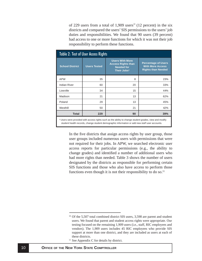of 229 users from a total of 1,909 users<sup>10</sup> (12 percent) in the six districts and compared the users' SIS permissions to the users' job duties and responsibilities. We found that 90 users (39 percent) had access to one or more functions for which it was not their job responsibility to perform these functions.

| Table 2: Test of User Access Rights                                                                                                                                                                      |                     |                                                                                    |     |  |  |  |
|----------------------------------------------------------------------------------------------------------------------------------------------------------------------------------------------------------|---------------------|------------------------------------------------------------------------------------|-----|--|--|--|
| <b>School District</b>                                                                                                                                                                                   | <b>Users Tested</b> | <b>Percentage of Users</b><br><b>With More Access</b><br><b>Rights than Needed</b> |     |  |  |  |
| <b>APW</b>                                                                                                                                                                                               | 35                  | 8                                                                                  | 23% |  |  |  |
| <b>Indian River</b>                                                                                                                                                                                      | 60                  | 20                                                                                 | 33% |  |  |  |
| Lowville                                                                                                                                                                                                 | 34                  | 15                                                                                 | 44% |  |  |  |
| Madison                                                                                                                                                                                                  | 21                  | 13                                                                                 | 62% |  |  |  |
| Poland                                                                                                                                                                                                   | 29                  | 13                                                                                 | 45% |  |  |  |
| Westhill                                                                                                                                                                                                 | 50                  | 21                                                                                 | 42% |  |  |  |
| <b>Total</b><br>229<br>90<br>39%                                                                                                                                                                         |                     |                                                                                    |     |  |  |  |
| a Users were provided with access rights such as the ability to change student grades, view and modify<br>student health records, change student demographic information or add new staff user accounts. |                     |                                                                                    |     |  |  |  |

In the five districts that assign access rights by user group, those user groups included numerous users with permissions that were not required for their jobs. In APW, we searched electronic user access reports for particular permissions (e.g., the ability to change grades) and identified a number of additional users who had more rights than needed. Table 3 shows the number of users designated by the districts as responsible for performing certain SIS functions and those who also have access to perform those functions even though it is not their responsibility to do so.<sup>11</sup>

 $10$  Of the 5,507 total combined district SIS users, 3,598 are parent and student users. We found that parent and student access rights were appropriate. Our testing focused on the remaining 1,909 users (i.e., staff, RIC employees and vendors). The 1,909 users includes 45 RIC employees who provide SIS support at more than one district, and they are included as users at each of these districts.<br><sup>11</sup> See Appendix C for details by district.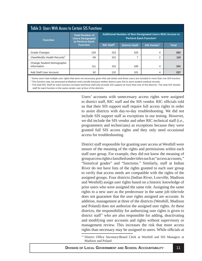| <b>Table 3: Users With Access to Certain SIS Functions</b> |                                                                      |                                                                                                             |                       |                                |              |  |  |
|------------------------------------------------------------|----------------------------------------------------------------------|-------------------------------------------------------------------------------------------------------------|-----------------------|--------------------------------|--------------|--|--|
| <b>Function</b>                                            | <b>Total Number of</b><br><b>Users Designated</b><br>to Perform Each | <b>Additional Number of Non-Designated Users With Access to</b><br><b>Perform Each Function<sup>a</sup></b> |                       |                                |              |  |  |
|                                                            | <b>Function</b>                                                      | <b>RIC Staff<sup>c</sup></b>                                                                                | <b>District Staff</b> | <b>SIS Vendor</b> <sup>c</sup> | <b>Total</b> |  |  |
| <b>Grade Changes</b>                                       | 129                                                                  | 153                                                                                                         | 105                   | 4                              | 262          |  |  |
| View/Modify Health Records <sup>b</sup>                    | 68                                                                   | 101                                                                                                         | ⇁                     | $\overline{2}$                 | 110          |  |  |
| Change Student Demographic<br>Information                  | 111                                                                  | 151                                                                                                         | 186                   | 4                              | 341          |  |  |
| Add Staff User Account                                     | 92                                                                   | 132                                                                                                         | 101                   | 4                              | 237          |  |  |

a Some users had multiple user rights that were not necessary given their job duties and these users are included in more than one SIS function.

b This function was not assessed at Madison and Lowville because neither district uses SIS to store student medical records.

<sup>c</sup> The total RIC Staff for each function includes technical staff who provide SIS support at more than one of the districts. The total SIS Vendor staff for each function is the same vendor user at four of the districts.

Users' accounts with unnecessary access rights were assigned to district staff, RIC staff and the SIS vendor. RIC officials told us that their SIS support staff require full access rights in order to assist districts with day-to-day troubleshooting. We did not include SIS support staff as exceptions in our testing. However, we did include the SIS vendor and other RIC technical staff (i.e., programmers and technicians) as exceptions because they were granted full SIS access rights and they only need occasional access for troubleshooting.

District staff responsible for granting user access at Westhill were unsure of the meaning of the rights and permissions within each staff user group. For example, they did not know the meaning of group access rights classified under titles such as "access accounts," "historical grades" and "functions." Similarly, staff at Indian River do not have lists of the rights granted to each user group to verify that access needs are compatible with the rights of the assigned groups. Four districts (Indian River, Lowville, Madison and Westhill) assign user rights based on a historic knowledge of prior users who were assigned the same role. Assigning the same rights to a new user as the predecessor in the same job title/role does not guarantee that the user rights assigned are accurate. In addition, management at three of the districts (Westhill, Madison and Poland) does not authorize the assigned user rights. At these districts, the responsibility for authorizing user rights is given to district staff<sup>12</sup> who are also responsible for adding, deactivating and modifying user accounts and rights without supervisory or management review. This increases the risk that more access rights than necessary may be assigned to users. While officials at

<sup>12</sup> District Office Secretary/Board Clerk at Westhill and SIS Managers at Madison and Poland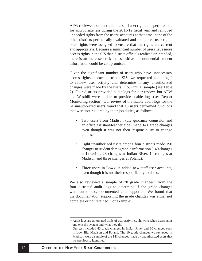APW reviewed non-instructional staff user rights and permissions for appropriateness during the 2011-12 fiscal year and removed unneeded rights from the users' accounts at that time, none of the other districts periodically evaluated and monitored user rights once rights were assigned to ensure that the rights are current and appropriate. Because a significant number of users have more access rights in the SIS than district officials realized or intended, there is an increased risk that sensitive or confidential student information could be compromised.

Given the significant number of users who have unnecessary access rights in each district's SIS, we requested audit  $\log s^{13}$ to review user activity and determine if any unauthorized changes were made by the users in our initial sample (see Table 2). Four districts provided audit logs for our review, but APW and Westhill were unable to provide usable logs (see Report Monitoring section). Our review of the usable audit logs for the 61 unauthorized users found that 13 users performed functions that were not required by their job duties, as follows:

- Two users from Madison (the guidance counselor and an office assistant/teacher aide) made 141 grade changes even though it was not their responsibility to change grades.
- Eight unauthorized users among four districts made 190 changes to student demographic information (149 changes at Lowville, 28 changes at Indian River, 10 changes at Madison and three changes at Poland).
- Three users in Lowville added new staff user accounts, even though it is not their responsibility to do so.

We also reviewed a sample of 70 grade changes<sup>14</sup> from the four districts' audit logs to determine if the grade changes were authorized, documented and supported. We found that the documentation supporting the grade changes was either not complete or not retained. For example:

<sup>&</sup>lt;sup>13</sup> Audit logs are automated trails of user activities, showing when users enter and exit the system and what they did.

<sup>&</sup>lt;sup>14</sup> Our test included 40 grade changes in Indian River and 10 changes each in Lowville, Madison and Poland. The 10 grade changes we reviewed in Madison were a sample of the 141 changes made by unauthorized users that we previously identified.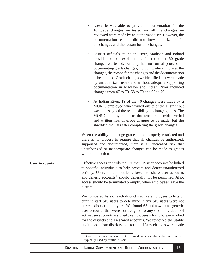- <span id="page-13-0"></span>• Lowville was able to provide documentation for the 10 grade changes we tested and all the changes we reviewed were made by an authorized user. However, the documentation retained did not show authorization for the changes and the reason for the changes.
- District officials at Indian River, Madison and Poland provided verbal explanations for the other 60 grade changes we tested, but they had no formal process for documenting grade changes, including who authorized the changes, the reason for the changes and the documentation to be retained. Grade changes we identified that were made by unauthorized users and without adequate supporting documentation in Madison and Indian River included changes from 47 to 70, 58 to 70 and 62 to 70.
- At Indian River, 19 of the 40 changes were made by a MORIC employee who worked onsite at the District but was not assigned the responsibility to change grades. The MORIC employee told us that teachers provided verbal and written lists of grade changes to be made, but she shredded the lists after completing the grade changes.

When the ability to change grades is not properly restricted and there is no process to require that all changes be authorized, supported and documented, there is an increased risk that unauthorized or inappropriate changes can be made to grades without detection.

Effective access controls require that SIS user accounts be linked to specific individuals to help prevent and detect unauthorized activity. Users should not be allowed to share user accounts and generic accounts<sup>15</sup> should generally not be permitted. Also, access should be terminated promptly when employees leave the district. **User Accounts**

> We compared lists of each district's active employees to lists of current staff SIS users to determine if any SIS users were not current district employees. We found 63 unknown and generic user accounts that were not assigned to any one individual, 44 active user accounts assigned to employees who no longer worked for the districts and 14 shared accounts. We reviewed the usable audit logs at four districts to determine if any changes were made

<sup>&</sup>lt;sup>15</sup> Generic user accounts are not assigned to a specific individual and are typically used by multiple users.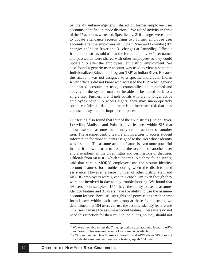by the 47 unknown/generic, shared or former employee user accounts identified in those districts.<sup>16</sup> We found activity in three of the 47 accounts we tested. Specifically, 216 changes were made to update attendance records using two former employee user accounts after the employees left Indian River and Lowville (185 changes at Indian River and 31 changes at Lowville). Officials from both districts told us that the former employees' user names and passwords were shared with other employees so they could update SIS after the employees left district employment. We also found a generic user account was used to view a student's Individualized Education Program (IEP) at Indian River. Because this account was not assigned to a specific individual, Indian River officials did not know who accessed the IEP. When generic and shared accounts are used, accountability is diminished and activity in the system may not be able to be traced back to a single user. Furthermore, if individuals who are no longer active employees have SIS access rights, they may inappropriately obtain confidential data, and there is an increased risk that they can use the system for improper purposes.

Our testing also found that four of the six districts (Indian River, Lowville, Madison and Poland) have features within SIS that allow users to assume the identity or the account of another user. The assume-identity feature allows a user to access student information for those students assigned to the user whose identity was assumed. The assume-account feature is even more powerful in that it allows a user to assume the account of another user and also inherit all the given rights and permissions of that user. Officials from MORIC, which supports SIS at these four districts, said that certain MORIC employees use the assume-identity/ account features for troubleshooting when the districts need assistance. However, a large number of other district staff and MORIC employees were given this capability, even though they were not involved in day-to-day troubleshooting. We found that 39 users in our sample of  $144<sup>17</sup>$  have the ability to use the assumeidentity feature and 31 users have the ability to use the assumeaccount feature. Because user rights and permissions are the same for all users within each user group at these four districts, we determined that 194 users can use the assume-identity feature and 175 users can use the assume-account feature. These users do not need this function for their routine job duties, so they should not

 $16$  We were not able to test the 74 inappropriate user accounts found in APW and Westhill because usable audit logs were not available. 17 229 users sampled, less 85 users in Westhill and APW whose SIS does not

include the assume-identity/account feature, equals 144 users.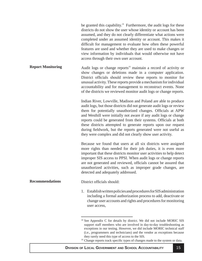<span id="page-15-0"></span>be granted this capability.<sup>18</sup> Furthermore, the audit logs for these districts do not show the user whose identity or account has been assumed, and they do not clearly differentiate what actions were completed under an assumed identity or account. This makes it difficult for management to evaluate how often these powerful features are used and whether they are used to make changes or view information by individuals that would otherwise not have access through their own user account. Audit logs or change reports<sup>19</sup> maintain a record of activity or show changes or deletions made in a computer application. District officials should review these reports to monitor for unusual activity. These reports provide a mechanism for individual accountability and for management to reconstruct events. None of the districts we reviewed monitor audit logs or change reports. Indian River, Lowville, Madison and Poland are able to produce audit logs, but those districts did not generate audit logs or review them for potentially unauthorized changes. Officials at APW and Westhill were initially not aware if any audit logs or change reports could be generated from their systems. Officials at both these districts attempted to generate reports upon our request during fieldwork, but the reports generated were not useful as they were complex and did not clearly show user activity. Because we found that users at all six districts were assigned more rights than needed for their job duties, it is even more important that these districts monitor user activities to help detect improper SIS access to PPSI. When audit logs or change reports are not generated and reviewed, officials cannot be assured that unauthorized activities, such as improper grade changes, are detected and adequately addressed. District officials should: 1. Establish written policies and procedures for SIS administration including a formal authorization process to add, deactivate or change user accounts and rights and procedures for monitoring user access, **Report Monitoring Recommendations**

<sup>&</sup>lt;sup>18</sup> See Appendix C for details by district. We did not include MORIC SIS support staff members who are involved in day-to-day troubleshooting as exceptions in our testing. However, we did include MORIC technical staff (i.e., programmers and technicians) and the vendor as exceptions because they rarely need this type of access to the SIS.

<sup>&</sup>lt;sup>19</sup> Change reports track specific types of changes made to the system or data.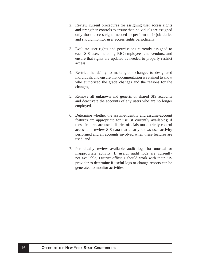- 2. Review current procedures for assigning user access rights and strengthen controls to ensure that individuals are assigned only those access rights needed to perform their job duties and should monitor user access rights periodically,
- 3. Evaluate user rights and permissions currently assigned to each SIS user, including RIC employees and vendors, and ensure that rights are updated as needed to properly restrict access,
- 4. Restrict the ability to make grade changes to designated individuals and ensure that documentation is retained to show who authorized the grade changes and the reasons for the changes,
- 5. Remove all unknown and generic or shared SIS accounts and deactivate the accounts of any users who are no longer employed,
- 6. Determine whether the assume-identity and assume-account features are appropriate for use (if currently available); if these features are used, district officials must strictly control access and review SIS data that clearly shows user activity performed and all accounts involved when these features are used, and
- 7. Periodically review available audit logs for unusual or inappropriate activity. If useful audit logs are currently not available, District officials should work with their SIS provider to determine if useful logs or change reports can be generated to monitor activities.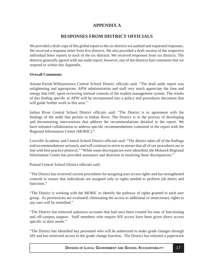# **APPENDIX A**

# **RESPONSES FROM DISTRICT OFFICIALS**

<span id="page-17-0"></span>We provided a draft copy of this global report to the six districts we audited and requested responses. We received a response letter from five districts. We also provided a draft version of the respective individual letter reports to each of the six districts. We received responses from six districts. The districts generally agreed with our audit report; however, one of the districts had comments that we respond to within this Appendix.

## **Overall Comments**

Altmar-Parish-Williamstown Central School District officials said: "The draft audit report was enlightening and appropriate, APW administration and staff very much appreciate the time and energy that OSC spent reviewing internal controls of the student management system. The results of this finding specific to APW will be incorporated into a policy and procedures document that will guide further work in this area."

Indian River Central School District officials said: "The District is in agreement with the findings of the audit that pertain to Indian River. The District is in the process of developing and documenting interventions that address the recommendations detailed in the report. We have initiated collaboration to address specific recommendations contained in the report with the Regional Information Center (MORIC)."

Lowville Academy and Central School District officials said: "The district takes all of the findings and recommendations seriously and will continue to strive to ensure that all of our procedures are in line with best practice protocol." "While some discrepancies were identified, the Mohawk Regional Information Center has provided assistance and direction in resolving these discrepancies."

Poland Central School District officials said:

"The District has reviewed current procedures for assigning user access rights and has strengthened controls to ensure that individuals are assigned only to rights needed to perform job duties and functions."

"The District is working with the MORIC to identify the pathway of rights granted to each user group. As permissions are evaluated, eliminating the access to additional or unnecessary rights to any user will be remedied."

"The District has removed unknown accounts that had once been created for ease of functioning and off-campus support. Staff members who require SIS access have been given direct access specific to their needs."

"The District has identified key personnel who will be authorized to make grade changes through SIS and has restricted access to the grade change function. The District has initiated a paperwork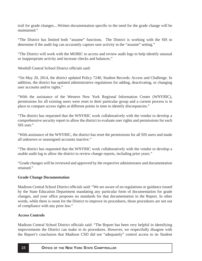trail for grade changes....Written documentation specific to the need for the grade change will be maintained."

"The District has limited both "assume" functions. The District is working with the SIS to determine if the audit log can accurately capture user activity in the "assume" setting."

"The District will work with the MORIC to access and review audit logs to help identify unusual or inappropriate activity and increase checks and balances."

Westhill Central School District officials said:

"On May 20, 2014, the district updated Policy 7240, Student Records: Access and Challenge. In addition, the district has updated administrative regulations for adding, deactivating, or changing user accounts and/or rights."

"With the assistance of the Western New York Regional Information Center (WNYRIC), permissions for all existing users were reset to their particular group and a current process is in place to compare access rights at different points in time to identify discrepancies."

"The district has requested that the WNYRIC work collaboratively with the vendor to develop a comprehensive security report to allow the district to evaluate user rights and permissions for each SIS user."

"With assistance of the WNYRIC, the district has reset the permissions for all SIS users and made all unknown or unassigned accounts inactive."

"The district has requested that the WNYRIC work collaboratively with the vendor to develop a usable audit log to allow the district to review change reports, including prior years."

"Grade changes will be reviewed and approved by the respective administrator and documentation retained."

## **Grade Change Documentation**

Madison Central School District officials said: "We are aware of no regulations or guidance issued by the State Education Department mandating any particular form of documentation for grade changes, and your office proposes no standards for that documentation in the Report. In other words, while there is room for the District to improve its procedures, those procedures are not out of compliance with any prior law."

## **Access Controls**

Madison Central School District officials said: "The Report has been very helpful in identifying improvements the District can make in its procedures. However, we respectfully disagree with the Report's conclusion that Madison CSD did not "adequately" control access to its Student

#### **18 <b>OFFICE OF THE NEW YORK STATE COMPTROLLER**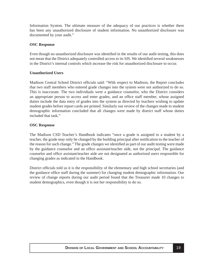Information System. The ultimate measure of the adequacy of our practices is whether there has been any unauthorized disclosure of student information. No unauthorized disclosure was documented by your audit."

### **OSC Response**

Even though no unauthorized disclosure was identified in the results of our audit testing, this does not mean that the District adequately controlled access to its SIS. We identified several weaknesses in the District's internal controls which increase the risk for unauthorized disclosure to occur.

### **Unauthorized Users**

Madison Central School District officials said: "With respect to Madison, the Report concludes that two staff members who entered grade changes into the system were not authorized to do so. This is inaccurate. The two individuals were a guidance counselor, who the District considers an appropriate person to access and enter grades, and an office staff member, whose assigned duties include the data entry of grades into the system as directed by teachers wishing to update student grades before report cards are printed. Similarly our review of the changes made to student demographic information concluded that all changes were made by district staff whose duties included that task."

### **OSC Response**

The Madison CSD Teacher's Handbook indicates "once a grade is assigned to a student by a teacher, the grade may only be changed by the building principal after notification to the teacher of the reason for such change." The grade changes we identified as part of our audit testing were made by the guidance counselor and an office assistant/teacher aide, not the principal. The guidance counselor and office assistant/teacher aide are not designated as authorized users responsible for changing grades as indicated in the Handbook.

District officials told us it is the responsibility of the elementary and high school secretaries (and the guidance office staff during the summer) for changing student demographic information. Our review of change reports during our audit period found that the Treasurer made 10 changes to student demographics, even though it is not her responsibility to do so.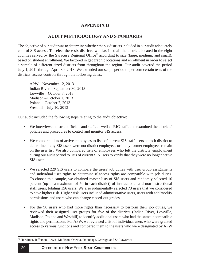# **APPENDIX B**

## **AUDIT METHODOLOGY AND STANDARDS**

<span id="page-20-0"></span>The objective of our audit was to determine whether the six districts included in our audit adequately control SIS access. To select these six districts, we classified all the districts located in the eight counties served by the Syracuse Regional Office<sup>20</sup> according to size (large, medium, and small), based on student enrollment. We factored in geographic locations and enrollment in order to select a sample of different sized districts from throughout the region. Our audit covered the period July 1, 2011 through April 30, 2013. We extended our scope period to perform certain tests of the districts' access controls through the following dates:

APW – November 12, 2013 Indian River – September 30, 2013 Lowville – October 7, 2013 Madison – October 1, 2013 Poland – October 7, 2013 Westhill – July 10, 2013

Our audit included the following steps relating to the audit objective:

- We interviewed district officials and staff, as well as RIC staff, and examined the districts' policies and procedures to control and monitor SIS access.
- We compared lists of active employees to lists of current SIS staff users at each district to determine if any SIS users were not district employees or if any former employees remain on the user list. We also compared lists of employees who left the districts' employment during our audit period to lists of current SIS users to verify that they were no longer active SIS users.
- We selected 229 SIS users to compare the users' job duties with user group assignments and individual user rights to determine if access rights are compatible with job duties. To choose this sample, we obtained master lists of SIS users and randomly selected 10 percent (up to a maximum of 50 in each district) of instructional and non-instructional staff users, totaling 156 users. We also judgmentally selected 73 users that we considered to have higher risk. Higher risk users included administrative users, users with add/modify permissions and users who can change closed-out grades.
- For the 90 users who had more rights than necessary to perform their job duties, we reviewed their assigned user groups for five of the districts (Indian River, Lowville, Madison, Poland and Westhill) to identify additional users who had the same incompatible rights and permissions. For APW, we reviewed a list of individual users who were granted access to various functions and compared them to the users who were designated by APW

<sup>20</sup> Herkimer, Jefferson, Lewis, Madison, Oneida, Onondaga, Oswego and St. Lawrence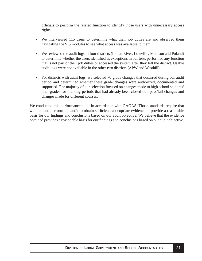officials to perform the related function to identify those users with unnecessary access rights.

- We interviewed 115 users to determine what their job duties are and observed them navigating the SIS modules to see what access was available to them.
- We reviewed the audit logs in four districts (Indian River, Lowville, Madison and Poland) to determine whether the users identified as exceptions in our tests performed any function that is not part of their job duties or accessed the system after they left the district. Usable audit logs were not available in the other two districts (APW and Westhill).
- For districts with audit logs, we selected 70 grade changes that occurred during our audit period and determined whether these grade changes were authorized, documented and supported. The majority of our selection focused on changes made to high school students' final grades for marking periods that had already been closed out, pass/fail changes and changes made for different courses.

We conducted this performance audit in accordance with GAGAS. Those standards require that we plan and perform the audit to obtain sufficient, appropriate evidence to provide a reasonable basis for our findings and conclusions based on our audit objective. We believe that the evidence obtained provides a reasonable basis for our findings and conclusions based on our audit objective.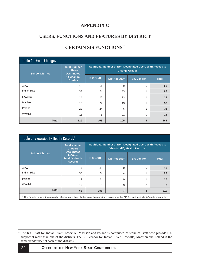# **APPENDIX C**

# <span id="page-22-0"></span>**USERS, FUNCTIONS AND FEATURES BY DISTRICT**

| <b>Table 4: Grade Changes</b> |                                                      |                                                                                  |                       |                   |              |  |  |
|-------------------------------|------------------------------------------------------|----------------------------------------------------------------------------------|-----------------------|-------------------|--------------|--|--|
| <b>School District</b>        | <b>Total Number</b><br>of Users<br><b>Designated</b> | Additional Number of Non-Designated Users With Access to<br><b>Change Grades</b> |                       |                   |              |  |  |
|                               | to Change<br><b>Grades</b>                           | <b>RIC Staff</b>                                                                 | <b>District Staff</b> | <b>SIS Vendor</b> | <b>Total</b> |  |  |
| <b>APW</b>                    | 16                                                   | 51                                                                               | 9                     | $\Omega$          | 60           |  |  |
| <b>Indian River</b>           | 33                                                   | 24                                                                               | 43                    | 1                 | 68           |  |  |
| Lowville                      | 24                                                   | 25                                                                               | 13                    | 1                 | 39           |  |  |
| Madison                       | 18                                                   | 24                                                                               | 13                    | 1                 | 38           |  |  |
| Poland                        | 23                                                   | 24                                                                               | 6                     | 4                 | 31           |  |  |
| Westhill                      | 15                                                   | 5                                                                                | 21                    | $\Omega$          | 26           |  |  |
| <b>Total</b>                  | 129                                                  | 153                                                                              | 105                   | 4                 | 262          |  |  |

# **CERTAIN SIS FUNCTIONS<sup>21</sup>**

| Table 5: View/Modify Health Records <sup>a</sup>                                                                                         |                                                                        |                                                                                               |                   |              |     |  |  |
|------------------------------------------------------------------------------------------------------------------------------------------|------------------------------------------------------------------------|-----------------------------------------------------------------------------------------------|-------------------|--------------|-----|--|--|
|                                                                                                                                          | <b>Total Number</b><br>of Users<br><b>Designated</b>                   | Additional Number of Non-Designated Users With Access to<br><b>View/Modify Health Records</b> |                   |              |     |  |  |
| <b>School District</b>                                                                                                                   | to View/<br><b>RIC Staff</b><br><b>Modify Health</b><br><b>Records</b> | <b>District Staff</b>                                                                         | <b>SIS Vendor</b> | <b>Total</b> |     |  |  |
| <b>APW</b>                                                                                                                               | 7                                                                      | 48                                                                                            | $\Omega$          | $\Omega$     | 48  |  |  |
| Indian River                                                                                                                             | 30                                                                     | 24                                                                                            | 4                 |              | 29  |  |  |
| Poland                                                                                                                                   | 19                                                                     | 24                                                                                            | $\Omega$          |              | 25  |  |  |
| Westhill                                                                                                                                 | 12                                                                     | 5                                                                                             | 3                 | $\Omega$     | 8   |  |  |
| <b>Total</b>                                                                                                                             | 68                                                                     | 101                                                                                           | 7                 | $\mathbf{2}$ | 110 |  |  |
| This function was not assessed at Madison and Lowville because these districts do not use the SIS for storing students' medical records. |                                                                        |                                                                                               |                   |              |     |  |  |

<sup>&</sup>lt;sup>21</sup> The RIC Staff for Indian River, Lowville, Madison and Poland is comprised of technical staff who provide SIS support at more than one of the districts. The SIS Vendor for Indian River, Lowville, Madison and Poland is the same vendor user at each of the districts.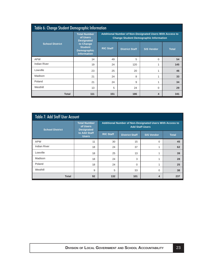| Table 6: Change Student Demographic Information |                                                                         |                                                                                                           |                       |                   |              |  |  |
|-------------------------------------------------|-------------------------------------------------------------------------|-----------------------------------------------------------------------------------------------------------|-----------------------|-------------------|--------------|--|--|
|                                                 | <b>Total Number</b><br>of Users<br><b>Designated</b>                    | Additional Number of Non-Designated Users With Access to<br><b>Change Student Demographic Information</b> |                       |                   |              |  |  |
| <b>School District</b>                          | to Change<br><b>Student</b><br><b>Demographic</b><br><b>Information</b> | <b>RIC Staff</b>                                                                                          | <b>District Staff</b> | <b>SIS Vendor</b> | <b>Total</b> |  |  |
| <b>APW</b>                                      | 14                                                                      | 49                                                                                                        | 5                     | $\Omega$          | 54           |  |  |
| <b>Indian River</b>                             | 19                                                                      | 24                                                                                                        | 120                   | 1                 | 145          |  |  |
| Lowville                                        | 23                                                                      | 25                                                                                                        | 20                    |                   | 46           |  |  |
| Madison                                         | 21                                                                      | 24                                                                                                        | 8                     | 1                 | 33           |  |  |
| Poland                                          | 21                                                                      | 24                                                                                                        | 9                     | 1                 | 34           |  |  |
| Westhill                                        | 13                                                                      | 5                                                                                                         | 24                    | $\Omega$          | 29           |  |  |
| <b>Total</b>                                    | 111                                                                     | 151<br>186<br>341<br>4                                                                                    |                       |                   |              |  |  |

| <b>Table 7: Add Staff User Account</b> |                                                      |                                                                                    |                       |                   |              |  |  |
|----------------------------------------|------------------------------------------------------|------------------------------------------------------------------------------------|-----------------------|-------------------|--------------|--|--|
| <b>School District</b>                 | <b>Total Number</b><br>of Users<br><b>Designated</b> | Additional Number of Non-Designated Users With Access to<br><b>Add Staff Users</b> |                       |                   |              |  |  |
|                                        | to Add Staff<br><b>Users</b>                         | <b>RIC Staff</b>                                                                   | <b>District Staff</b> | <b>SIS Vendor</b> | <b>Total</b> |  |  |
| <b>APW</b>                             | 11                                                   | 30                                                                                 | 15                    | $\Omega$          | 45           |  |  |
| <b>Indian River</b>                    | 18                                                   | 24                                                                                 | 37                    |                   | 62           |  |  |
| Lowville                               | 18                                                   | 25                                                                                 | 13                    |                   | 39           |  |  |
| Madison                                | 18                                                   | 24                                                                                 | 3                     |                   | 28           |  |  |
| Poland                                 | 18                                                   | 24                                                                                 | $\Omega$              |                   | 25           |  |  |
| Westhill                               | 9                                                    | 5                                                                                  | 33                    | $\Omega$          | 38           |  |  |
| <b>Total</b>                           | 92                                                   | 132                                                                                | 101                   | 4                 | 237          |  |  |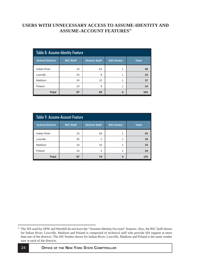# **USERS WITH UNNECESSARY ACCESS TO ASSUME-IDENTITY AND ASSUME-ACCOUNT FEATURES<sup>22</sup>**

| Table 8: Assume-Identity Feature |                  |                       |                   |              |  |  |  |  |
|----------------------------------|------------------|-----------------------|-------------------|--------------|--|--|--|--|
| <b>School District</b>           | <b>RIC Staff</b> | <b>District Staff</b> | <b>SIS Vendor</b> | <b>Total</b> |  |  |  |  |
| <b>Indian River</b>              | 24               | 64                    |                   | 89           |  |  |  |  |
| Lowville                         | 25               | 8                     |                   | 34           |  |  |  |  |
| Madison                          | 24               | 12                    |                   | 37           |  |  |  |  |
| Poland                           | 24               | 9                     |                   | 34           |  |  |  |  |
| <b>Total</b>                     | 97               | 93                    | 4                 | 194          |  |  |  |  |

| <b>Table 9: Assume-Account Feature</b> |                  |                       |                   |              |  |  |  |  |
|----------------------------------------|------------------|-----------------------|-------------------|--------------|--|--|--|--|
| <b>School District</b>                 | <b>RIC Staff</b> | <b>District Staff</b> | <b>SIS Vendor</b> | <b>Total</b> |  |  |  |  |
| <b>Indian River</b>                    | 24               | 58                    |                   | 83           |  |  |  |  |
| Lowville                               | 25               | 2                     |                   | 28           |  |  |  |  |
| Madison                                | 24               | 10                    |                   | 35           |  |  |  |  |
| Poland                                 | 24               | $\overline{4}$        |                   | 29           |  |  |  |  |
| <b>Total</b>                           | 97               | 74                    | 4                 | 175          |  |  |  |  |

<sup>&</sup>lt;sup>22</sup> The SIS used by APW and Westhill do not have the "Assume-Identity/Account" features. Also, the RIC Staff shown for Indian River, Lowville, Madison and Poland is comprised of technical staff who provide SIS support at more than one of the districts. The SIS Vendor shown for Indian River, Lowville, Madison and Poland is the same vendor user at each of the districts.

**O** 24 **FFICE OF THE NEW YORK STATE COMPTROLLER**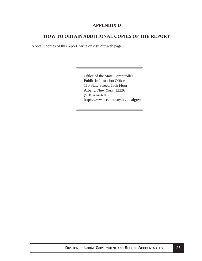## **APPENDIX D**

## **HOW TO OBTAIN ADDITIONAL COPIES OF THE REPORT**

<span id="page-25-0"></span>To obtain copies of this report, write or visit our web page:

Office of the State Comptroller Public Information Office 110 State Street, 15th Floor Albany, New York 12236 (518) 474-4015 http://www.osc.state.ny.us/localgov/